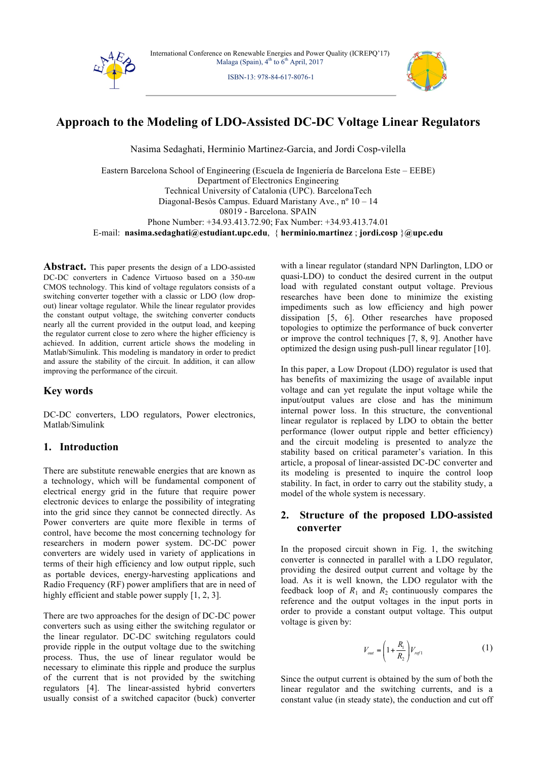

ISBN-13: 978-84-617-8076-1



# **Approach to the Modeling of LDO-Assisted DC-DC Voltage Linear Regulators**

Nasima Sedaghati, Herminio Martinez-Garcia, and Jordi Cosp-vilella

Eastern Barcelona School of Engineering (Escuela de Ingeniería de Barcelona Este – EEBE) Department of Electronics Engineering Technical University of Catalonia (UPC). BarcelonaTech Diagonal-Besòs Campus. Eduard Maristany Ave., nº 10 – 14 08019 - Barcelona. SPAIN Phone Number: +34.93.413.72.90; Fax Number: +34.93.413.74.01 E-mail: **nasima.sedaghati@estudiant.upc.edu**, { **herminio.martinez** ; **jordi.cosp** }**@upc.edu**

**Abstract.** This paper presents the design of a LDO-assisted DC-DC converters in Cadence Virtuoso based on a 350-*nm* CMOS technology. This kind of voltage regulators consists of a switching converter together with a classic or LDO (low dropout) linear voltage regulator. While the linear regulator provides the constant output voltage, the switching converter conducts nearly all the current provided in the output load, and keeping the regulator current close to zero where the higher efficiency is achieved. In addition, current article shows the modeling in Matlab/Simulink. This modeling is mandatory in order to predict and assure the stability of the circuit. In addition, it can allow improving the performance of the circuit.

# **Key words**

DC-DC converters, LDO regulators, Power electronics, Matlab/Simulink

# **1. Introduction**

There are substitute renewable energies that are known as a technology, which will be fundamental component of electrical energy grid in the future that require power electronic devices to enlarge the possibility of integrating into the grid since they cannot be connected directly. As Power converters are quite more flexible in terms of control, have become the most concerning technology for researchers in modern power system. DC-DC power converters are widely used in variety of applications in terms of their high efficiency and low output ripple, such as portable devices, energy-harvesting applications and Radio Frequency (RF) power amplifiers that are in need of highly efficient and stable power supply [1, 2, 3].

There are two approaches for the design of DC-DC power converters such as using either the switching regulator or the linear regulator. DC-DC switching regulators could provide ripple in the output voltage due to the switching process. Thus, the use of linear regulator would be necessary to eliminate this ripple and produce the surplus of the current that is not provided by the switching regulators [4]. The linear-assisted hybrid converters usually consist of a switched capacitor (buck) converter with a linear regulator (standard NPN Darlington, LDO or quasi-LDO) to conduct the desired current in the output load with regulated constant output voltage. Previous researches have been done to minimize the existing impediments such as low efficiency and high power dissipation [5, 6]. Other researches have proposed topologies to optimize the performance of buck converter or improve the control techniques [7, 8, 9]. Another have optimized the design using push-pull linear regulator [10].

In this paper, a Low Dropout (LDO) regulator is used that has benefits of maximizing the usage of available input voltage and can yet regulate the input voltage while the input/output values are close and has the minimum internal power loss. In this structure, the conventional linear regulator is replaced by LDO to obtain the better performance (lower output ripple and better efficiency) and the circuit modeling is presented to analyze the stability based on critical parameter's variation. In this article, a proposal of linear-assisted DC-DC converter and its modeling is presented to inquire the control loop stability. In fact, in order to carry out the stability study, a model of the whole system is necessary.

# **2. Structure of the proposed LDO-assisted converter**

In the proposed circuit shown in Fig. 1, the switching converter is connected in parallel with a LDO regulator, providing the desired output current and voltage by the load. As it is well known, the LDO regulator with the feedback loop of  $R_1$  and  $R_2$  continuously compares the reference and the output voltages in the input ports in order to provide a constant output voltage. This output voltage is given by:

$$
V_{out} = \left(1 + \frac{R_1}{R_2}\right) V_{ref1} \tag{1}
$$

Since the output current is obtained by the sum of both the linear regulator and the switching currents, and is a constant value (in steady state), the conduction and cut off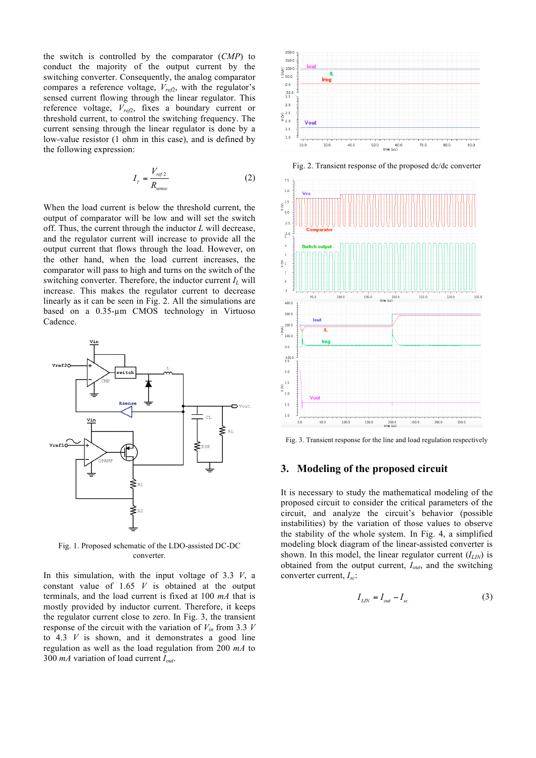the switch is controlled by the comparator (*CMP*) to conduct the majority of the output current by the switching converter. Consequently, the analog comparator compares a reference voltage, *Vref*2, with the regulator's sensed current flowing through the linear regulator. This reference voltage,  $V_{ref2}$ , fixes a boundary current or threshold current, to control the switching frequency. The current sensing through the linear regulator is done by a low-value resistor (1 ohm in this case), and is defined by the following expression:

$$
I_{\gamma} = \frac{V_{ref2}}{R_{sense}} \tag{2}
$$

When the load current is below the threshold current, the output of comparator will be low and will set the switch off. Thus, the current through the inductor *L* will decrease, and the regulator current will increase to provide all the output current that flows through the load. However, on the other hand, when the load current increases, the comparator will pass to high and turns on the switch of the switching converter. Therefore, the inductor current *IL* will increase. This makes the regulator current to decrease linearly as it can be seen in Fig. 2. All the simulations are based on a 0.35-µm CMOS technology in Virtuoso Cadence.



Fig. 1. Proposed schematic of the LDO-assisted DC-DC converter.

In this simulation, with the input voltage of 3.3 *V*, a constant value of 1.65 *V* is obtained at the output terminals, and the load current is fixed at 100 *mA* that is mostly provided by inductor current. Therefore, it keeps the regulator current close to zero. In Fig. 3, the transient response of the circuit with the variation of  $V_{in}$  from 3.3 *V* to 4.3 *V* is shown, and it demonstrates a good line regulation as well as the load regulation from 200 *mA* to 300 *mA* variation of load current *Iout*.





Fig. 2. Transient response of the proposed dc/dc converter

Fig. 3. Transient response for the line and load regulation respectively

### **3. Modeling of the proposed circuit**

It is necessary to study the mathematical modeling of the proposed circuit to consider the critical parameters of the circuit, and analyze the circuit's behavior (possible instabilities) by the variation of those values to observe the stability of the whole system. In Fig. 4, a simplified modeling block diagram of the linear-assisted converter is shown. In this model, the linear regulator current (*ILIN*) is obtained from the output current, *Iout*, and the switching converter current, *Isc*:

$$
I_{LN} = I_{out} - I_{sc} \tag{3}
$$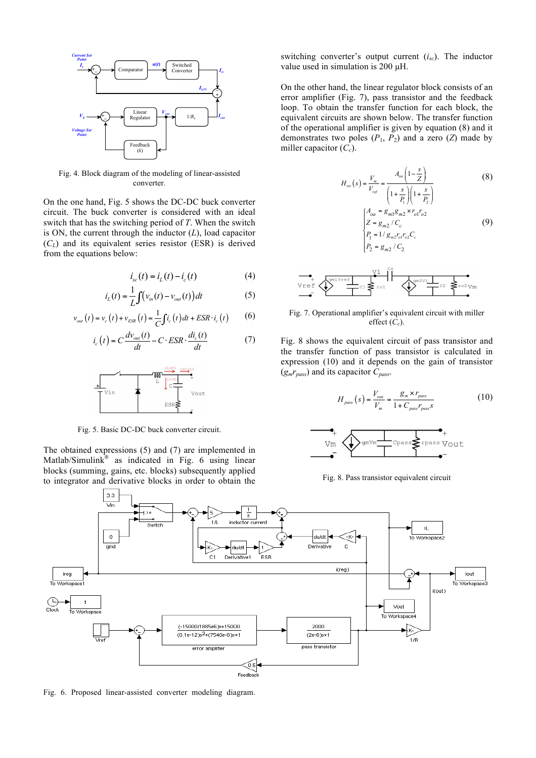

Fig. 4. Block diagram of the modeling of linear-assisted converter.

On the one hand, Fig. 5 shows the DC-DC buck converter circuit. The buck converter is considered with an ideal switch that has the switching period of *T*. When the switch is ON, the current through the inductor (*L*), load capacitor (*CL*) and its equivalent series resistor (ESR) is derived from the equations below:

$$
i_{sc}(t) = i_{L}(t) - i_{c}(t)
$$
 (4)

$$
i_L(t) = \frac{1}{L} \int \left(v_{in}(t) - v_{out}(t)\right) dt \tag{5}
$$

$$
v_{out}(t) = v_c(t) + v_{ESR}(t) = \frac{1}{C} \int i_c(t) dt + ESR \cdot i_c(t)
$$
 (6)

$$
i_c(t) = C \frac{dv_{out}(t)}{dt} - C \cdot ESR \cdot \frac{di_c(t)}{dt}
$$
 (7)



Fig. 5. Basic DC-DC buck converter circuit.

The obtained expressions (5) and (7) are implemented in Matlab/Simulink® as indicated in Fig. 6 using linear blocks (summing, gains, etc. blocks) subsequently applied to integrator and derivative blocks in order to obtain the switching converter's output current (*isc*). The inductor value used in simulation is 200 µH.

On the other hand, the linear regulator block consists of an error amplifier (Fig. 7), pass transistor and the feedback loop. To obtain the transfer function for each block, the equivalent circuits are shown below. The transfer function of the operational amplifier is given by equation (8) and it demonstrates two poles  $(P_1, P_2)$  and a zero  $(Z)$  made by miller capacitor  $(C_c)$ .

$$
H_{oa}(s) = \frac{V_m}{V_{ref}} = \frac{A_{oa}\left(1 - \frac{s}{Z}\right)}{\left(1 + \frac{s}{P_1}\right)\left(1 + \frac{s}{P_2}\right)}
$$
(8)  

$$
\begin{cases} A_{oa} = g_{m1}g_{m2} \times r_{o1}r_{o2} \\ Z = g_{m2}/C_c \\ P_1 = 1/g_{m2}r_{o1}r_{o2}C_c \\ P_2 = g_{m2}/C_2 \end{cases}
$$
(9)

$$
\underbrace{\text{Vref}}_{\text{Vref}} \underbrace{\left\{\text{V}^{\text{univref}}_{\text{c1}}\right\} \text{tr}\left\{\text{V}^{\text{univref}}_{\text{c2}}\right\}}_{\text{c2}} \underbrace{\text{V}^{\text{univier}}_{\text{c2}} \text{V}^{\text{univier}}_{\text{c2}}}_{\text{c2}} \underbrace{\text{V}^{\text{univier}}_{\text{c2}}}_{\text{c2 V}^{\text{univier}}_{\text{c2 V}^{\text{univier}}_{\text{c2 V}^{\text{univier}}_{\text{c2 V}^{\text{univier}}_{\text{c2 V}^{\text{univier}}_{\text{c2 V}^{\text{univier}}_{\text{c2 V}^{\text{univier}}_{\text{c2 V}^{\text{univier}}_{\text{c2 V}^{\text{univier}}_{\text{c2 V}^{\text{univier}}_{\text{c2 V}^{\text{univier}}_{\text{c2 V}^{\text{univier}}_{\text{c2 V}^{\text{univier}}_{\text{c2 V}^{\text{univier}}_{\text{c2 V}^{\text{univier}}_{\text{c2 V}^{\text{univier}}_{\text{c2 V}^{\text{univier}}_{\text{c2 V}^{\text{univier}}_{\text{c2 V}^{\text{univier}}_{\text{c2 V}^{\text{univier}}_{\text{c2 V}^{\text{univier}}_{\text{c2 V}^{\text{univier}}_{\text{c2 V}^{\text{univier}}_{\text{c2 V}^{\text{univier}}_{\text{c2 V}^{\text{univier}}_{\text{c2 V}^{\text{univier}}_{\text{c2 V}^{\text{univier}}_{\text{c2 V}^{\text{univier}}_{\text{c2 V}^{\text{univier}}_{\text{c2 V}^{\text{univier}}_{\text{c2 V}^{\text{univier}}_{\text{c2 V}^{\text{univier}}_{\text{c2 V}^{\text{univier}}_{\text{c2 V}^{\text{univier}}_{\text{c2 V}^{\text{univier}}_{\text{c2 V}^{\text{univier}}_{\text{c2 V}^{\text{univier}}_{\text{c2 V}^{\text
$$

#### Fig. 7. Operational amplifier's equivalent circuit with miller effect  $(C_c)$ .

Fig. 8 shows the equivalent circuit of pass transistor and the transfer function of pass transistor is calculated in expression (10) and it depends on the gain of transistor (*gmrpass*) and its capacitor *Cpass*.

$$
H_{\text{pass}}(s) = \frac{V_{\text{out}}}{V_m} = \frac{g_m \times r_{\text{pass}}}{1 + C_{\text{pass}} r_{\text{pass}} s}
$$
(10)



Fig. 8. Pass transistor equivalent circuit



Fig. 6. Proposed linear-assisted converter modeling diagram.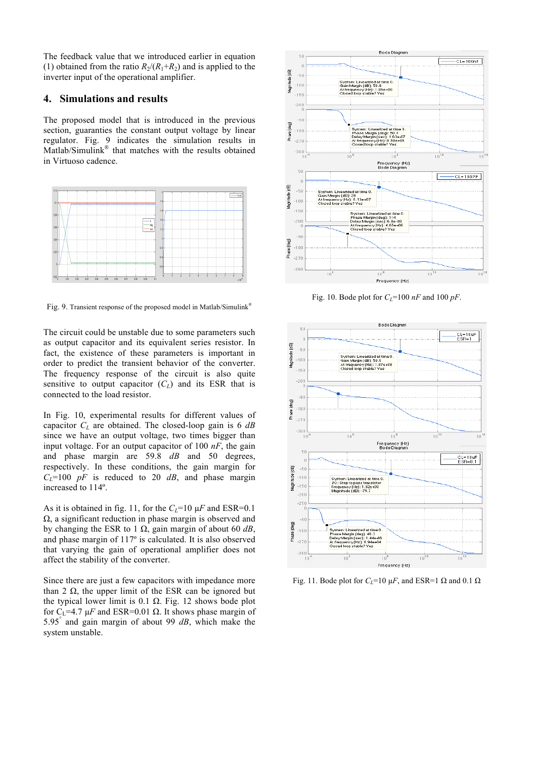The feedback value that we introduced earlier in equation (1) obtained from the ratio  $R_2/(R_1+R_2)$  and is applied to the inverter input of the operational amplifier.

### **4. Simulations and results**

The proposed model that is introduced in the previous section, guaranties the constant output voltage by linear regulator. Fig. 9 indicates the simulation results in Matlab/Simulink® that matches with the results obtained in Virtuoso cadence.



Fig. 9. Transient response of the proposed model in Matlab/Simulink®

The circuit could be unstable due to some parameters such as output capacitor and its equivalent series resistor. In fact, the existence of these parameters is important in order to predict the transient behavior of the converter. The frequency response of the circuit is also quite sensitive to output capacitor  $(C_L)$  and its ESR that is connected to the load resistor.

In Fig. 10, experimental results for different values of capacitor *CL* are obtained. The closed-loop gain is 6 *dB* since we have an output voltage, two times bigger than input voltage. For an output capacitor of 100 *nF*, the gain and phase margin are 59.8 *dB* and 50 degrees, respectively. In these conditions, the gain margin for  $C_{L}$ =100 *pF* is reduced to 20 *dB*, and phase margin increased to 114º.

As it is obtained in fig. 11, for the  $C_{L}$ =10  $\mu$ *F* and ESR=0.1 Ω, a significant reduction in phase margin is observed and by changing the ESR to 1 Ω, gain margin of about 60 *dB*, and phase margin of 117º is calculated. It is also observed that varying the gain of operational amplifier does not affect the stability of the converter.

Since there are just a few capacitors with impedance more than 2  $Ω$ , the upper limit of the ESR can be ignored but the typical lower limit is 0.1 Ω. Fig. 12 shows bode plot for C<sub>L</sub>=4.7 μ*F* and ESR=0.01 Ω. It shows phase margin of 5.95° and gain margin of about 99 *dB*, which make the system unstable.



Fig. 10. Bode plot for  $C_L$ =100  $nF$  and 100  $pF$ .



Fig. 11. Bode plot for  $C_l$ =10  $\mu$ *F*, and ESR=1  $\Omega$  and 0.1  $\Omega$